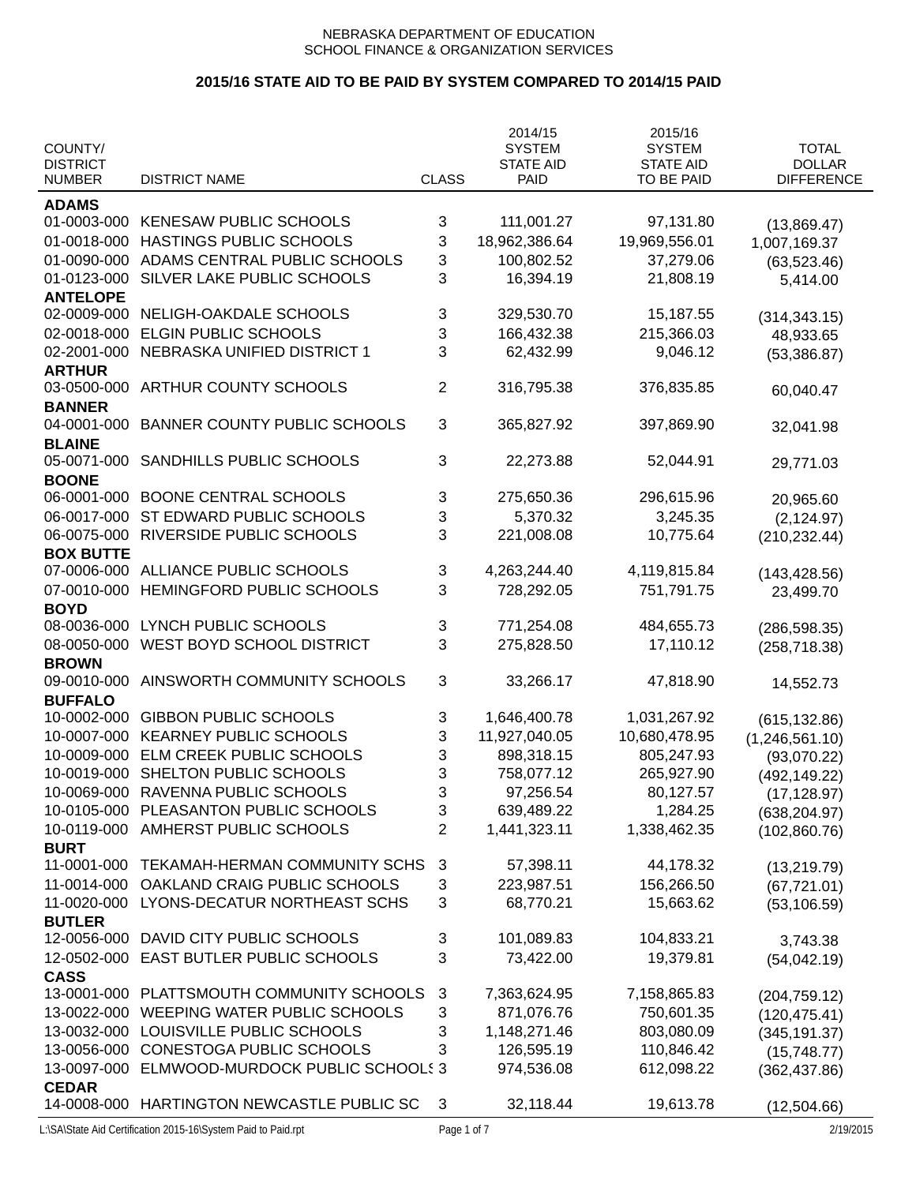|                                  |                                            |                | 2014/15                         | 2015/16                        |                                    |
|----------------------------------|--------------------------------------------|----------------|---------------------------------|--------------------------------|------------------------------------|
| COUNTY/                          |                                            |                | <b>SYSTEM</b>                   | <b>SYSTEM</b>                  | <b>TOTAL</b>                       |
| <b>DISTRICT</b><br><b>NUMBER</b> | <b>DISTRICT NAME</b>                       | <b>CLASS</b>   | <b>STATE AID</b><br><b>PAID</b> | <b>STATE AID</b><br>TO BE PAID | <b>DOLLAR</b><br><b>DIFFERENCE</b> |
|                                  |                                            |                |                                 |                                |                                    |
| <b>ADAMS</b>                     |                                            |                |                                 |                                |                                    |
| 01-0003-000                      | <b>KENESAW PUBLIC SCHOOLS</b>              | 3              | 111,001.27                      | 97,131.80                      | (13,869.47)                        |
| 01-0018-000                      | HASTINGS PUBLIC SCHOOLS                    | 3              | 18,962,386.64                   | 19,969,556.01                  | 1,007,169.37                       |
| 01-0090-000                      | ADAMS CENTRAL PUBLIC SCHOOLS               | 3              | 100,802.52                      | 37,279.06                      | (63, 523.46)                       |
| 01-0123-000                      | SILVER LAKE PUBLIC SCHOOLS                 | 3              | 16,394.19                       | 21,808.19                      | 5,414.00                           |
| <b>ANTELOPE</b>                  |                                            |                |                                 |                                |                                    |
| 02-0009-000                      | NELIGH-OAKDALE SCHOOLS                     | 3              | 329,530.70                      | 15,187.55                      | (314, 343.15)                      |
| 02-0018-000                      | <b>ELGIN PUBLIC SCHOOLS</b>                | 3              | 166,432.38                      | 215,366.03                     | 48,933.65                          |
| 02-2001-000                      | NEBRASKA UNIFIED DISTRICT 1                | 3              | 62,432.99                       | 9,046.12                       | (53, 386.87)                       |
| <b>ARTHUR</b>                    |                                            |                |                                 |                                |                                    |
| 03-0500-000                      | ARTHUR COUNTY SCHOOLS                      | $\overline{2}$ | 316,795.38                      | 376,835.85                     | 60,040.47                          |
| <b>BANNER</b>                    |                                            |                |                                 |                                |                                    |
| 04-0001-000                      | <b>BANNER COUNTY PUBLIC SCHOOLS</b>        | 3              | 365,827.92                      | 397,869.90                     | 32,041.98                          |
| <b>BLAINE</b>                    |                                            |                |                                 |                                |                                    |
| 05-0071-000                      | SANDHILLS PUBLIC SCHOOLS                   | 3              | 22,273.88                       | 52,044.91                      | 29,771.03                          |
| <b>BOONE</b>                     |                                            |                |                                 |                                |                                    |
| 06-0001-000                      | <b>BOONE CENTRAL SCHOOLS</b>               | 3              | 275,650.36                      | 296,615.96                     | 20,965.60                          |
| 06-0017-000                      | ST EDWARD PUBLIC SCHOOLS                   | 3              | 5,370.32                        | 3,245.35                       | (2, 124.97)                        |
| 06-0075-000                      | RIVERSIDE PUBLIC SCHOOLS                   | 3              | 221,008.08                      | 10,775.64                      | (210, 232.44)                      |
| <b>BOX BUTTE</b>                 |                                            |                |                                 |                                |                                    |
| 07-0006-000                      | ALLIANCE PUBLIC SCHOOLS                    | 3              | 4,263,244.40                    | 4,119,815.84                   | (143, 428.56)                      |
| 07-0010-000                      | HEMINGFORD PUBLIC SCHOOLS                  | 3              | 728,292.05                      | 751,791.75                     | 23,499.70                          |
| <b>BOYD</b>                      |                                            |                |                                 |                                |                                    |
| 08-0036-000                      | LYNCH PUBLIC SCHOOLS                       | 3              | 771,254.08                      | 484,655.73                     | (286, 598.35)                      |
| 08-0050-000                      | WEST BOYD SCHOOL DISTRICT                  | 3              | 275,828.50                      | 17,110.12                      |                                    |
| <b>BROWN</b>                     |                                            |                |                                 |                                | (258, 718.38)                      |
| 09-0010-000                      | AINSWORTH COMMUNITY SCHOOLS                | 3              | 33,266.17                       | 47,818.90                      |                                    |
| <b>BUFFALO</b>                   |                                            |                |                                 |                                | 14,552.73                          |
| 10-0002-000                      | <b>GIBBON PUBLIC SCHOOLS</b>               | 3              | 1,646,400.78                    | 1,031,267.92                   |                                    |
| 10-0007-000                      | <b>KEARNEY PUBLIC SCHOOLS</b>              | 3              | 11,927,040.05                   | 10,680,478.95                  | (615, 132.86)                      |
|                                  |                                            |                |                                 |                                | (1,246,561.10)                     |
| 10-0009-000                      | ELM CREEK PUBLIC SCHOOLS                   | 3              | 898,318.15                      | 805,247.93                     | (93,070.22)                        |
| 10-0019-000                      | SHELTON PUBLIC SCHOOLS                     | 3              | 758,077.12                      | 265,927.90                     | (492, 149.22)                      |
| 10-0069-000                      | RAVENNA PUBLIC SCHOOLS                     | 3              | 97,256.54                       | 80,127.57                      | (17, 128.97)                       |
| 10-0105-000                      | PLEASANTON PUBLIC SCHOOLS                  | 3              | 639,489.22                      | 1,284.25                       | (638, 204.97)                      |
| 10-0119-000                      | AMHERST PUBLIC SCHOOLS                     | $\overline{2}$ | 1,441,323.11                    | 1,338,462.35                   | (102, 860.76)                      |
| <b>BURT</b>                      |                                            |                |                                 |                                |                                    |
| 11-0001-000                      | TEKAMAH-HERMAN COMMUNITY SCHS              | 3              | 57,398.11                       | 44,178.32                      | (13, 219.79)                       |
| 11-0014-000                      | OAKLAND CRAIG PUBLIC SCHOOLS               | 3              | 223,987.51                      | 156,266.50                     | (67, 721.01)                       |
| 11-0020-000                      | LYONS-DECATUR NORTHEAST SCHS               | 3              | 68,770.21                       | 15,663.62                      | (53, 106.59)                       |
| <b>BUTLER</b>                    |                                            |                |                                 |                                |                                    |
| 12-0056-000                      | DAVID CITY PUBLIC SCHOOLS                  | 3              | 101,089.83                      | 104,833.21                     | 3,743.38                           |
| 12-0502-000                      | EAST BUTLER PUBLIC SCHOOLS                 | 3              | 73,422.00                       | 19,379.81                      | (54,042.19)                        |
| <b>CASS</b>                      |                                            |                |                                 |                                |                                    |
| 13-0001-000                      | PLATTSMOUTH COMMUNITY SCHOOLS              | 3              | 7,363,624.95                    | 7,158,865.83                   | (204, 759.12)                      |
| 13-0022-000                      | WEEPING WATER PUBLIC SCHOOLS               | 3              | 871,076.76                      | 750,601.35                     | (120, 475.41)                      |
| 13-0032-000                      | LOUISVILLE PUBLIC SCHOOLS                  | 3              | 1,148,271.46                    | 803,080.09                     | (345, 191.37)                      |
| 13-0056-000                      | CONESTOGA PUBLIC SCHOOLS                   | 3              | 126,595.19                      | 110,846.42                     | (15,748.77)                        |
| 13-0097-000                      | ELMWOOD-MURDOCK PUBLIC SCHOOLS 3           |                | 974,536.08                      | 612,098.22                     | (362, 437.86)                      |
| <b>CEDAR</b>                     |                                            |                |                                 |                                |                                    |
|                                  | 14-0008-000 HARTINGTON NEWCASTLE PUBLIC SC | 3              | 32,118.44                       | 19,613.78                      | (12,504.66)                        |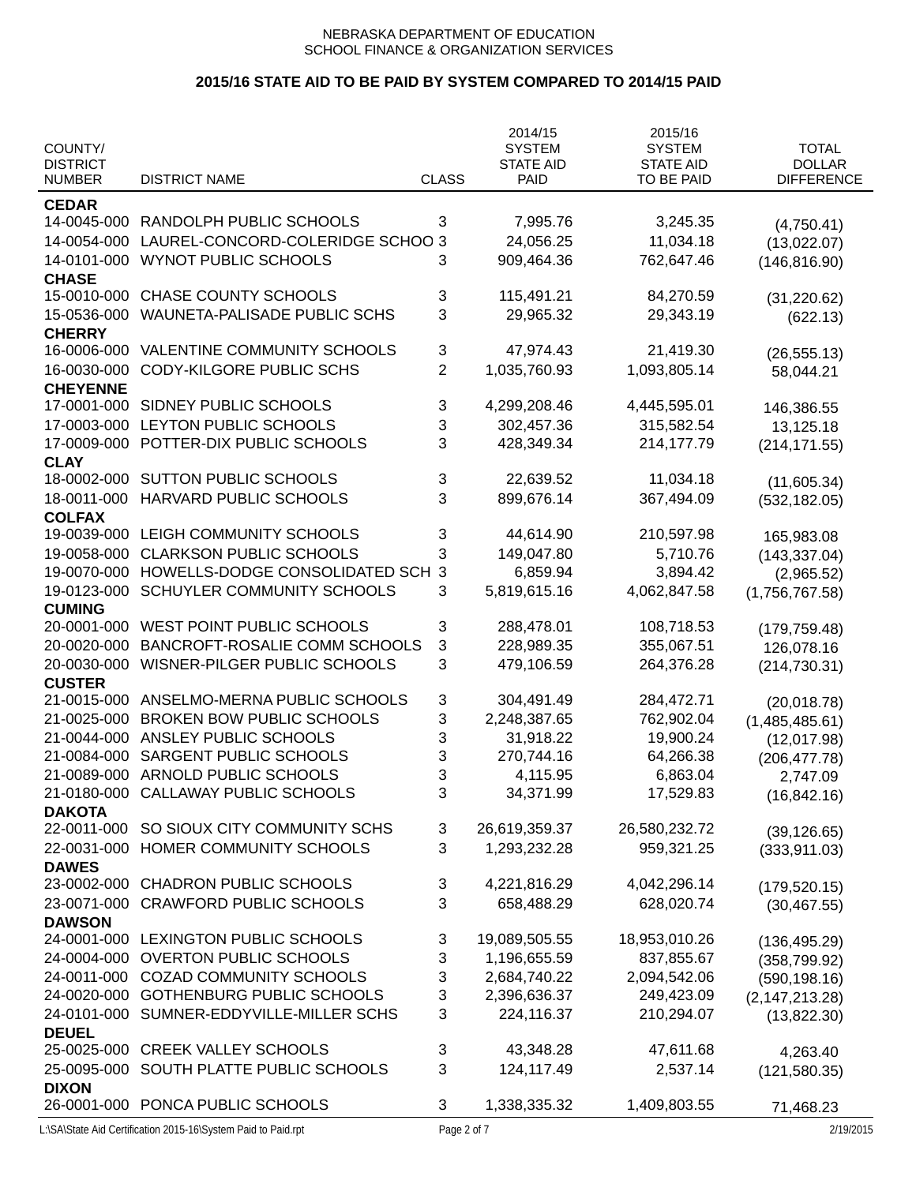|                 |                                    |                | 2014/15          | 2015/16          |                   |
|-----------------|------------------------------------|----------------|------------------|------------------|-------------------|
| COUNTY/         |                                    |                | <b>SYSTEM</b>    | <b>SYSTEM</b>    | <b>TOTAL</b>      |
| <b>DISTRICT</b> |                                    |                | <b>STATE AID</b> | <b>STATE AID</b> | <b>DOLLAR</b>     |
| <b>NUMBER</b>   | <b>DISTRICT NAME</b>               | <b>CLASS</b>   | PAID             | TO BE PAID       | <b>DIFFERENCE</b> |
| <b>CEDAR</b>    |                                    |                |                  |                  |                   |
| 14-0045-000     | RANDOLPH PUBLIC SCHOOLS            | 3              | 7,995.76         | 3,245.35         | (4,750.41)        |
| 14-0054-000     | LAUREL-CONCORD-COLERIDGE SCHOO 3   |                | 24,056.25        | 11,034.18        | (13,022.07)       |
| 14-0101-000     | <b>WYNOT PUBLIC SCHOOLS</b>        | 3              | 909,464.36       | 762,647.46       | (146, 816.90)     |
| <b>CHASE</b>    |                                    |                |                  |                  |                   |
| 15-0010-000     | <b>CHASE COUNTY SCHOOLS</b>        | 3              | 115,491.21       | 84,270.59        | (31, 220.62)      |
| 15-0536-000     | WAUNETA-PALISADE PUBLIC SCHS       | 3              | 29,965.32        | 29,343.19        | (622.13)          |
| <b>CHERRY</b>   |                                    |                |                  |                  |                   |
| 16-0006-000     | <b>VALENTINE COMMUNITY SCHOOLS</b> | 3              | 47,974.43        | 21,419.30        | (26, 555.13)      |
| 16-0030-000     | <b>CODY-KILGORE PUBLIC SCHS</b>    | $\overline{2}$ | 1,035,760.93     | 1,093,805.14     | 58,044.21         |
| <b>CHEYENNE</b> |                                    |                |                  |                  |                   |
| 17-0001-000     | SIDNEY PUBLIC SCHOOLS              | 3              | 4,299,208.46     | 4,445,595.01     | 146,386.55        |
| 17-0003-000     | LEYTON PUBLIC SCHOOLS              | 3              | 302,457.36       | 315,582.54       | 13,125.18         |
| 17-0009-000     | POTTER-DIX PUBLIC SCHOOLS          | 3              | 428,349.34       | 214,177.79       | (214, 171.55)     |
| <b>CLAY</b>     |                                    |                |                  |                  |                   |
| 18-0002-000     | SUTTON PUBLIC SCHOOLS              | 3              | 22,639.52        | 11,034.18        | (11,605.34)       |
| 18-0011-000     | <b>HARVARD PUBLIC SCHOOLS</b>      | 3              | 899,676.14       | 367,494.09       | (532, 182.05)     |
| <b>COLFAX</b>   |                                    |                |                  |                  |                   |
| 19-0039-000     | LEIGH COMMUNITY SCHOOLS            | 3              | 44,614.90        | 210,597.98       | 165,983.08        |
| 19-0058-000     | <b>CLARKSON PUBLIC SCHOOLS</b>     | 3              | 149,047.80       | 5,710.76         | (143, 337.04)     |
| 19-0070-000     | HOWELLS-DODGE CONSOLIDATED SCH     | 3              | 6,859.94         | 3,894.42         | (2,965.52)        |
| 19-0123-000     | SCHUYLER COMMUNITY SCHOOLS         | 3              | 5,819,615.16     | 4,062,847.58     | (1,756,767.58)    |
| <b>CUMING</b>   |                                    |                |                  |                  |                   |
| 20-0001-000     | WEST POINT PUBLIC SCHOOLS          | 3              | 288,478.01       | 108,718.53       | (179, 759.48)     |
| 20-0020-000     | BANCROFT-ROSALIE COMM SCHOOLS      | 3              | 228,989.35       | 355,067.51       | 126,078.16        |
| 20-0030-000     | WISNER-PILGER PUBLIC SCHOOLS       | 3              | 479,106.59       | 264,376.28       | (214, 730.31)     |
| <b>CUSTER</b>   |                                    |                |                  |                  |                   |
| 21-0015-000     | ANSELMO-MERNA PUBLIC SCHOOLS       | 3              | 304,491.49       | 284,472.71       | (20,018.78)       |
| 21-0025-000     | <b>BROKEN BOW PUBLIC SCHOOLS</b>   | 3              | 2,248,387.65     | 762,902.04       | (1,485,485.61)    |
| 21-0044-000     | ANSLEY PUBLIC SCHOOLS              | 3              | 31,918.22        | 19,900.24        | (12,017.98)       |
| 21-0084-000     | SARGENT PUBLIC SCHOOLS             | 3              | 270,744.16       | 64,266.38        | (206, 477.78)     |
| 21-0089-000     | ARNOLD PUBLIC SCHOOLS              | 3              | 4,115.95         | 6,863.04         | 2,747.09          |
| 21-0180-000     | CALLAWAY PUBLIC SCHOOLS            | З              | 34,371.99        | 17,529.83        | (16, 842.16)      |
| <b>DAKOTA</b>   |                                    |                |                  |                  |                   |
| 22-0011-000     | SO SIOUX CITY COMMUNITY SCHS       | 3              | 26,619,359.37    | 26,580,232.72    | (39, 126.65)      |
| 22-0031-000     | HOMER COMMUNITY SCHOOLS            | 3              | 1,293,232.28     | 959,321.25       | (333, 911.03)     |
| <b>DAWES</b>    |                                    |                |                  |                  |                   |
| 23-0002-000     | <b>CHADRON PUBLIC SCHOOLS</b>      | 3              | 4,221,816.29     | 4,042,296.14     | (179, 520.15)     |
| 23-0071-000     | <b>CRAWFORD PUBLIC SCHOOLS</b>     | 3              | 658,488.29       | 628,020.74       | (30, 467.55)      |
| <b>DAWSON</b>   |                                    |                |                  |                  |                   |
| 24-0001-000     | LEXINGTON PUBLIC SCHOOLS           | 3              | 19,089,505.55    | 18,953,010.26    | (136, 495.29)     |
| 24-0004-000     | <b>OVERTON PUBLIC SCHOOLS</b>      | 3              | 1,196,655.59     | 837,855.67       | (358, 799.92)     |
| 24-0011-000     | <b>COZAD COMMUNITY SCHOOLS</b>     | 3              | 2,684,740.22     | 2,094,542.06     | (590, 198.16)     |
| 24-0020-000     | <b>GOTHENBURG PUBLIC SCHOOLS</b>   | 3              | 2,396,636.37     | 249,423.09       | (2, 147, 213.28)  |
| 24-0101-000     | SUMNER-EDDYVILLE-MILLER SCHS       | 3              | 224,116.37       | 210,294.07       | (13,822.30)       |
| <b>DEUEL</b>    |                                    |                |                  |                  |                   |
| 25-0025-000     | <b>CREEK VALLEY SCHOOLS</b>        | 3              | 43,348.28        | 47,611.68        | 4,263.40          |
| 25-0095-000     | SOUTH PLATTE PUBLIC SCHOOLS        | 3              | 124,117.49       | 2,537.14         | (121, 580.35)     |
| <b>DIXON</b>    |                                    |                |                  |                  |                   |
|                 | 26-0001-000 PONCA PUBLIC SCHOOLS   | 3              | 1,338,335.32     | 1,409,803.55     | 71,468.23         |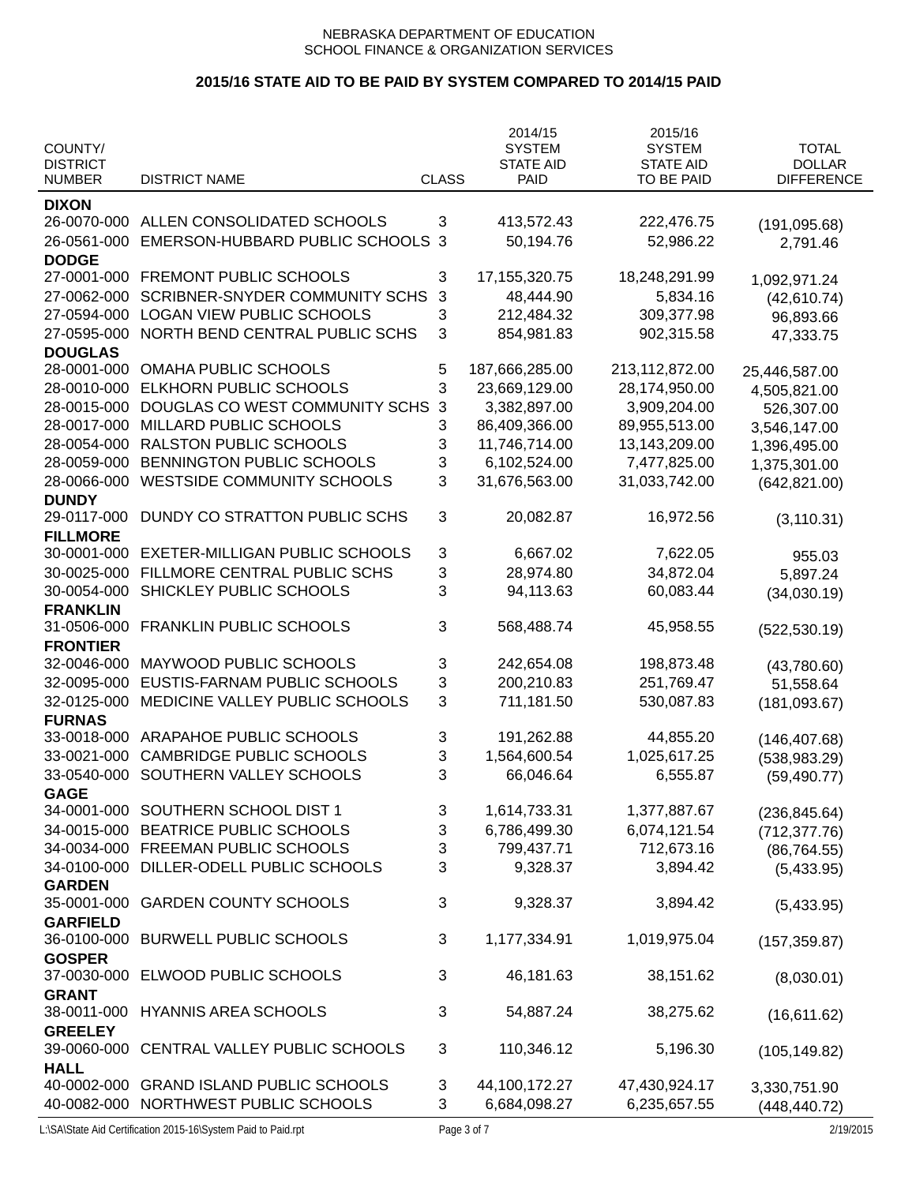|                            |                                                            |              | 2014/15                           | 2015/16                           |                               |
|----------------------------|------------------------------------------------------------|--------------|-----------------------------------|-----------------------------------|-------------------------------|
| COUNTY/<br><b>DISTRICT</b> |                                                            |              | <b>SYSTEM</b><br><b>STATE AID</b> | <b>SYSTEM</b><br><b>STATE AID</b> | <b>TOTAL</b><br><b>DOLLAR</b> |
| <b>NUMBER</b>              | <b>DISTRICT NAME</b>                                       | <b>CLASS</b> | <b>PAID</b>                       | TO BE PAID                        | <b>DIFFERENCE</b>             |
| <b>DIXON</b>               |                                                            |              |                                   |                                   |                               |
| 26-0070-000                | ALLEN CONSOLIDATED SCHOOLS                                 | 3            | 413,572.43                        | 222,476.75                        | (191, 095.68)                 |
| 26-0561-000                | EMERSON-HUBBARD PUBLIC SCHOOLS                             | 3            | 50,194.76                         | 52,986.22                         | 2,791.46                      |
| <b>DODGE</b>               |                                                            |              |                                   |                                   |                               |
| 27-0001-000                | FREMONT PUBLIC SCHOOLS                                     | 3            | 17, 155, 320. 75                  | 18,248,291.99                     | 1,092,971.24                  |
| 27-0062-000                | <b>SCRIBNER-SNYDER COMMUNITY SCHS</b>                      | 3            | 48,444.90                         | 5,834.16                          | (42, 610.74)                  |
| 27-0594-000                | <b>LOGAN VIEW PUBLIC SCHOOLS</b>                           | 3            | 212,484.32                        | 309,377.98                        | 96,893.66                     |
| 27-0595-000                | NORTH BEND CENTRAL PUBLIC SCHS                             | 3            | 854,981.83                        | 902,315.58                        | 47,333.75                     |
| <b>DOUGLAS</b>             |                                                            |              |                                   |                                   |                               |
| 28-0001-000                | <b>OMAHA PUBLIC SCHOOLS</b>                                | 5            | 187,666,285.00                    | 213,112,872.00                    | 25,446,587.00                 |
| 28-0010-000                | ELKHORN PUBLIC SCHOOLS                                     | 3            | 23,669,129.00                     | 28,174,950.00                     | 4,505,821.00                  |
| 28-0015-000                | DOUGLAS CO WEST COMMUNITY SCHS                             | $\mathbf{3}$ | 3,382,897.00                      | 3,909,204.00                      | 526,307.00                    |
| 28-0017-000                | MILLARD PUBLIC SCHOOLS                                     | 3            | 86,409,366.00                     | 89,955,513.00                     | 3,546,147.00                  |
| 28-0054-000                | RALSTON PUBLIC SCHOOLS                                     | 3            | 11,746,714.00                     | 13,143,209.00                     | 1,396,495.00                  |
| 28-0059-000                | BENNINGTON PUBLIC SCHOOLS                                  | 3            | 6,102,524.00                      | 7,477,825.00                      | 1,375,301.00                  |
| 28-0066-000                | <b>WESTSIDE COMMUNITY SCHOOLS</b>                          | 3            | 31,676,563.00                     | 31,033,742.00                     | (642, 821.00)                 |
| <b>DUNDY</b>               |                                                            |              |                                   |                                   |                               |
| 29-0117-000                | DUNDY CO STRATTON PUBLIC SCHS                              | 3            | 20,082.87                         | 16,972.56                         | (3, 110.31)                   |
| <b>FILLMORE</b>            |                                                            |              |                                   |                                   |                               |
| 30-0001-000                | <b>EXETER-MILLIGAN PUBLIC SCHOOLS</b>                      | 3            | 6,667.02                          | 7,622.05                          | 955.03                        |
| 30-0025-000                | FILLMORE CENTRAL PUBLIC SCHS                               | 3            | 28,974.80                         | 34,872.04                         | 5,897.24                      |
| 30-0054-000                | SHICKLEY PUBLIC SCHOOLS                                    | 3            | 94,113.63                         | 60,083.44                         | (34,030.19)                   |
| <b>FRANKLIN</b>            |                                                            |              |                                   |                                   |                               |
| 31-0506-000                | <b>FRANKLIN PUBLIC SCHOOLS</b>                             | 3            | 568,488.74                        | 45,958.55                         | (522, 530.19)                 |
| <b>FRONTIER</b>            |                                                            |              |                                   |                                   |                               |
| 32-0046-000                | MAYWOOD PUBLIC SCHOOLS                                     | 3            | 242,654.08                        | 198,873.48                        | (43,780.60)                   |
| 32-0095-000                | EUSTIS-FARNAM PUBLIC SCHOOLS                               | 3            | 200,210.83                        | 251,769.47                        | 51,558.64                     |
| 32-0125-000                | MEDICINE VALLEY PUBLIC SCHOOLS                             | 3            | 711,181.50                        | 530,087.83                        | (181, 093.67)                 |
| <b>FURNAS</b>              | ARAPAHOE PUBLIC SCHOOLS                                    |              |                                   |                                   |                               |
| 33-0018-000                |                                                            | 3            | 191,262.88                        | 44,855.20                         | (146, 407.68)                 |
| 33-0021-000                | <b>CAMBRIDGE PUBLIC SCHOOLS</b><br>SOUTHERN VALLEY SCHOOLS | 3<br>3       | 1,564,600.54<br>66,046.64         | 1,025,617.25                      | (538, 983.29)                 |
| 33-0540-000                |                                                            |              |                                   | 6,555.87                          | (59, 490.77)                  |
| <b>GAGE</b><br>34-0001-000 | SOUTHERN SCHOOL DIST 1                                     | 3            | 1,614,733.31                      | 1,377,887.67                      |                               |
| 34-0015-000                | BEATRICE PUBLIC SCHOOLS                                    | 3            | 6,786,499.30                      | 6,074,121.54                      | (236, 845.64)                 |
| 34-0034-000                | FREEMAN PUBLIC SCHOOLS                                     | 3            | 799,437.71                        | 712,673.16                        | (712, 377.76)<br>(86, 764.55) |
| 34-0100-000                | DILLER-ODELL PUBLIC SCHOOLS                                | 3            | 9,328.37                          | 3,894.42                          | (5,433.95)                    |
| <b>GARDEN</b>              |                                                            |              |                                   |                                   |                               |
| 35-0001-000                | <b>GARDEN COUNTY SCHOOLS</b>                               | 3            | 9,328.37                          | 3,894.42                          | (5,433.95)                    |
| <b>GARFIELD</b>            |                                                            |              |                                   |                                   |                               |
| 36-0100-000                | <b>BURWELL PUBLIC SCHOOLS</b>                              | 3            | 1,177,334.91                      | 1,019,975.04                      | (157, 359.87)                 |
| <b>GOSPER</b>              |                                                            |              |                                   |                                   |                               |
| 37-0030-000                | ELWOOD PUBLIC SCHOOLS                                      | 3            | 46,181.63                         | 38,151.62                         | (8,030.01)                    |
| <b>GRANT</b>               |                                                            |              |                                   |                                   |                               |
| 38-0011-000                | <b>HYANNIS AREA SCHOOLS</b>                                | 3            | 54,887.24                         | 38,275.62                         | (16,611.62)                   |
| <b>GREELEY</b>             |                                                            |              |                                   |                                   |                               |
| 39-0060-000                | CENTRAL VALLEY PUBLIC SCHOOLS                              | 3            | 110,346.12                        | 5,196.30                          | (105, 149.82)                 |
| <b>HALL</b>                |                                                            |              |                                   |                                   |                               |
|                            | 40-0002-000 GRAND ISLAND PUBLIC SCHOOLS                    | 3            | 44,100,172.27                     | 47,430,924.17                     | 3,330,751.90                  |
|                            | 40-0082-000 NORTHWEST PUBLIC SCHOOLS                       | 3            | 6,684,098.27                      | 6,235,657.55                      | (448, 440.72)                 |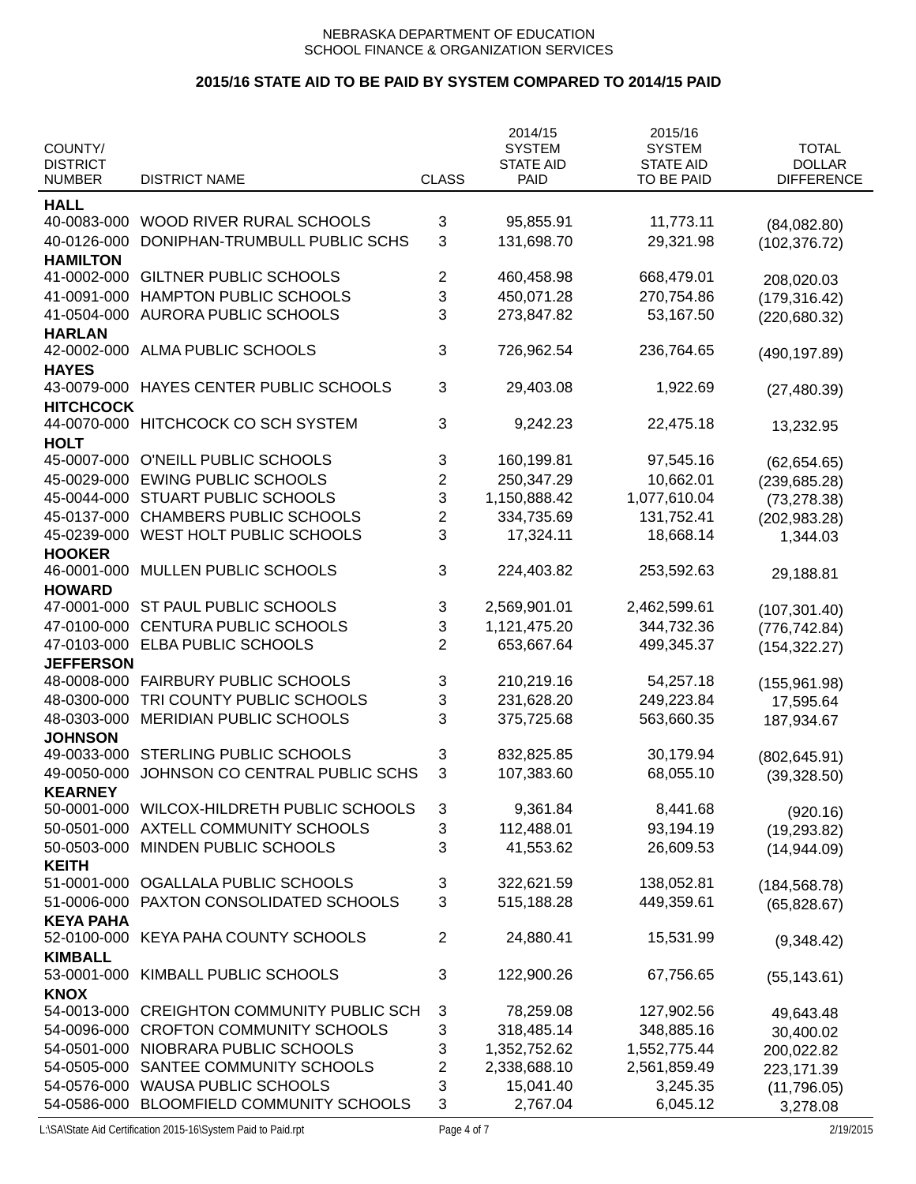|                                  |                                       |                         | 2014/15                  | 2015/16                        |                                    |
|----------------------------------|---------------------------------------|-------------------------|--------------------------|--------------------------------|------------------------------------|
| COUNTY/                          |                                       |                         | <b>SYSTEM</b>            | <b>SYSTEM</b>                  | <b>TOTAL</b>                       |
| <b>DISTRICT</b><br><b>NUMBER</b> | <b>DISTRICT NAME</b>                  | <b>CLASS</b>            | <b>STATE AID</b><br>PAID | <b>STATE AID</b><br>TO BE PAID | <b>DOLLAR</b><br><b>DIFFERENCE</b> |
|                                  |                                       |                         |                          |                                |                                    |
| <b>HALL</b><br>40-0083-000       | WOOD RIVER RURAL SCHOOLS              |                         | 95,855.91                | 11,773.11                      |                                    |
| 40-0126-000                      | DONIPHAN-TRUMBULL PUBLIC SCHS         | 3<br>3                  | 131,698.70               | 29,321.98                      | (84,082.80)                        |
| <b>HAMILTON</b>                  |                                       |                         |                          |                                | (102, 376.72)                      |
| 41-0002-000                      | <b>GILTNER PUBLIC SCHOOLS</b>         | 2                       | 460,458.98               | 668,479.01                     | 208,020.03                         |
| 41-0091-000                      | <b>HAMPTON PUBLIC SCHOOLS</b>         | 3                       | 450,071.28               | 270,754.86                     | (179, 316.42)                      |
| 41-0504-000                      | <b>AURORA PUBLIC SCHOOLS</b>          | 3                       | 273,847.82               | 53,167.50                      | (220, 680.32)                      |
| <b>HARLAN</b>                    |                                       |                         |                          |                                |                                    |
| 42-0002-000                      | ALMA PUBLIC SCHOOLS                   | 3                       | 726,962.54               | 236,764.65                     | (490, 197.89)                      |
| <b>HAYES</b>                     |                                       |                         |                          |                                |                                    |
| 43-0079-000                      | HAYES CENTER PUBLIC SCHOOLS           | 3                       | 29,403.08                | 1,922.69                       | (27, 480.39)                       |
| <b>HITCHCOCK</b>                 |                                       |                         |                          |                                |                                    |
| 44-0070-000                      | HITCHCOCK CO SCH SYSTEM               | 3                       | 9,242.23                 | 22,475.18                      | 13,232.95                          |
| <b>HOLT</b>                      |                                       |                         |                          |                                |                                    |
| 45-0007-000                      | O'NEILL PUBLIC SCHOOLS                | 3                       | 160,199.81               | 97,545.16                      | (62, 654.65)                       |
| 45-0029-000                      | <b>EWING PUBLIC SCHOOLS</b>           | $\overline{2}$          | 250,347.29               | 10,662.01                      | (239, 685.28)                      |
| 45-0044-000                      | STUART PUBLIC SCHOOLS                 | 3                       | 1,150,888.42             | 1,077,610.04                   | (73, 278.38)                       |
| 45-0137-000                      | <b>CHAMBERS PUBLIC SCHOOLS</b>        | $\overline{2}$          | 334,735.69               | 131,752.41                     | (202, 983.28)                      |
| 45-0239-000                      | WEST HOLT PUBLIC SCHOOLS              | 3                       | 17,324.11                | 18,668.14                      | 1,344.03                           |
| <b>HOOKER</b>                    |                                       |                         |                          |                                |                                    |
| 46-0001-000                      | MULLEN PUBLIC SCHOOLS                 | 3                       | 224,403.82               | 253,592.63                     | 29,188.81                          |
| <b>HOWARD</b>                    |                                       |                         |                          |                                |                                    |
| 47-0001-000                      | ST PAUL PUBLIC SCHOOLS                | 3                       | 2,569,901.01             | 2,462,599.61                   | (107, 301.40)                      |
| 47-0100-000                      | <b>CENTURA PUBLIC SCHOOLS</b>         | 3                       | 1,121,475.20             | 344,732.36                     | (776, 742.84)                      |
| 47-0103-000                      | ELBA PUBLIC SCHOOLS                   | $\overline{2}$          | 653,667.64               | 499,345.37                     | (154, 322.27)                      |
| <b>JEFFERSON</b>                 |                                       |                         |                          |                                |                                    |
| 48-0008-000                      | <b>FAIRBURY PUBLIC SCHOOLS</b>        | 3                       | 210,219.16               | 54,257.18                      | (155, 961.98)                      |
| 48-0300-000                      | TRI COUNTY PUBLIC SCHOOLS             | 3                       | 231,628.20               | 249,223.84                     | 17,595.64                          |
| 48-0303-000<br><b>JOHNSON</b>    | MERIDIAN PUBLIC SCHOOLS               | 3                       | 375,725.68               | 563,660.35                     | 187,934.67                         |
| 49-0033-000                      | <b>STERLING PUBLIC SCHOOLS</b>        | 3                       | 832,825.85               | 30,179.94                      |                                    |
| 49-0050-000                      | JOHNSON CO CENTRAL PUBLIC SCHS        | 3                       | 107,383.60               | 68,055.10                      | (802, 645.91)                      |
| <b>KEARNEY</b>                   |                                       |                         |                          |                                | (39, 328.50)                       |
| 50-0001-000                      | WILCOX-HILDRETH PUBLIC SCHOOLS        | 3                       | 9,361.84                 | 8,441.68                       | (920.16)                           |
| 50-0501-000                      | AXTELL COMMUNITY SCHOOLS              | 3                       | 112,488.01               | 93,194.19                      | (19, 293.82)                       |
| 50-0503-000                      | MINDEN PUBLIC SCHOOLS                 | 3                       | 41,553.62                | 26,609.53                      | (14, 944.09)                       |
| <b>KEITH</b>                     |                                       |                         |                          |                                |                                    |
| 51-0001-000                      | OGALLALA PUBLIC SCHOOLS               | 3                       | 322,621.59               | 138,052.81                     | (184, 568.78)                      |
| 51-0006-000                      | PAXTON CONSOLIDATED SCHOOLS           | 3                       | 515,188.28               | 449,359.61                     | (65, 828.67)                       |
| <b>KEYA PAHA</b>                 |                                       |                         |                          |                                |                                    |
| 52-0100-000                      | KEYA PAHA COUNTY SCHOOLS              | 2                       | 24,880.41                | 15,531.99                      | (9,348.42)                         |
| <b>KIMBALL</b>                   |                                       |                         |                          |                                |                                    |
| 53-0001-000                      | KIMBALL PUBLIC SCHOOLS                | 3                       | 122,900.26               | 67,756.65                      | (55, 143.61)                       |
| <b>KNOX</b>                      |                                       |                         |                          |                                |                                    |
| 54-0013-000                      | <b>CREIGHTON COMMUNITY PUBLIC SCH</b> | 3                       | 78,259.08                | 127,902.56                     | 49,643.48                          |
| 54-0096-000                      | <b>CROFTON COMMUNITY SCHOOLS</b>      | 3                       | 318,485.14               | 348,885.16                     | 30,400.02                          |
| 54-0501-000                      | NIOBRARA PUBLIC SCHOOLS               | 3                       | 1,352,752.62             | 1,552,775.44                   | 200,022.82                         |
| 54-0505-000                      | SANTEE COMMUNITY SCHOOLS              | $\overline{\mathbf{c}}$ | 2,338,688.10             | 2,561,859.49                   | 223,171.39                         |
| 54-0576-000                      | <b>WAUSA PUBLIC SCHOOLS</b>           | 3                       | 15,041.40                | 3,245.35                       | (11, 796.05)                       |
| 54-0586-000                      | BLOOMFIELD COMMUNITY SCHOOLS          | 3                       | 2,767.04                 | 6,045.12                       | 3,278.08                           |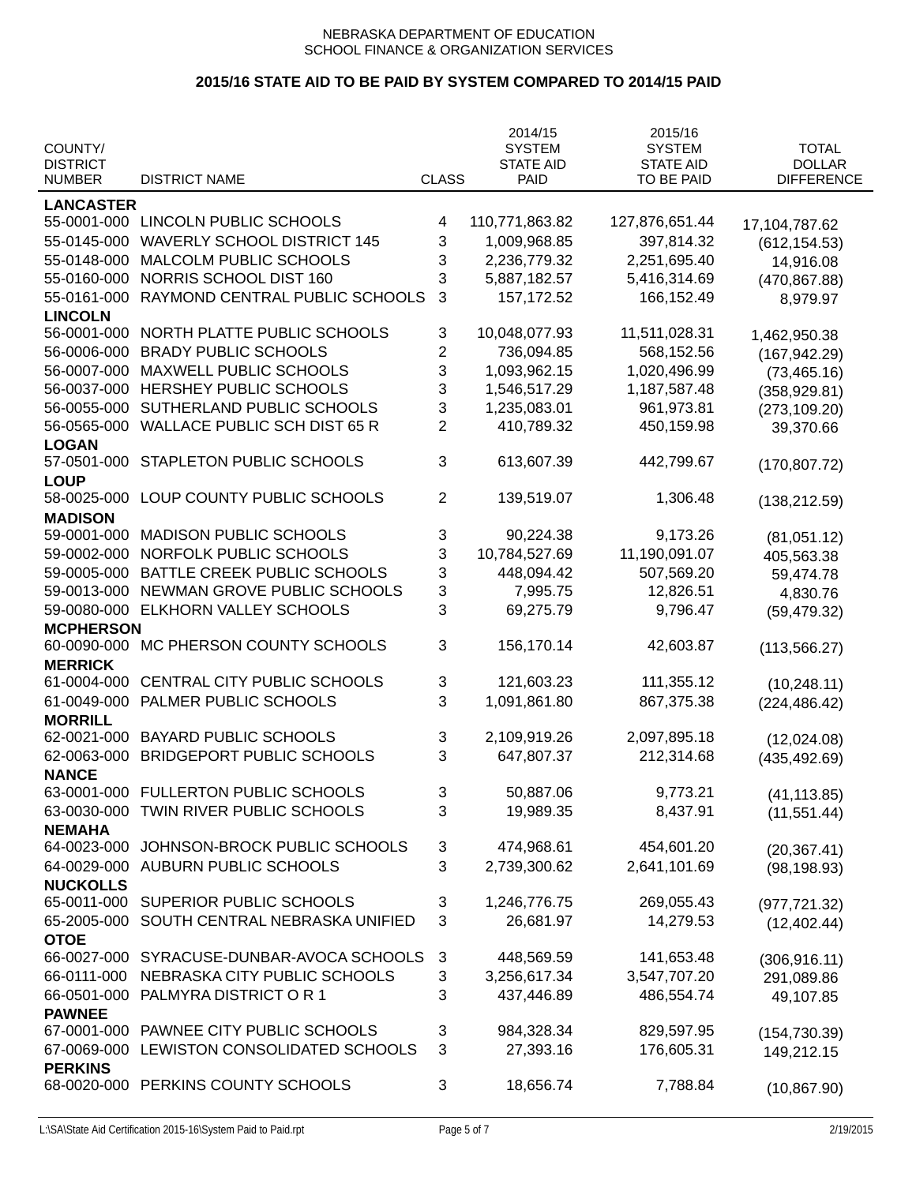|                  |                                     |                | 2014/15          | 2015/16          |                   |
|------------------|-------------------------------------|----------------|------------------|------------------|-------------------|
| COUNTY/          |                                     |                | <b>SYSTEM</b>    | <b>SYSTEM</b>    | <b>TOTAL</b>      |
| <b>DISTRICT</b>  |                                     |                | <b>STATE AID</b> | <b>STATE AID</b> | <b>DOLLAR</b>     |
| <b>NUMBER</b>    | <b>DISTRICT NAME</b>                | <b>CLASS</b>   | PAID             | TO BE PAID       | <b>DIFFERENCE</b> |
| <b>LANCASTER</b> |                                     |                |                  |                  |                   |
| 55-0001-000      | LINCOLN PUBLIC SCHOOLS              | 4              | 110,771,863.82   | 127,876,651.44   | 17,104,787.62     |
| 55-0145-000      | <b>WAVERLY SCHOOL DISTRICT 145</b>  | 3              | 1,009,968.85     | 397,814.32       | (612, 154.53)     |
| 55-0148-000      | MALCOLM PUBLIC SCHOOLS              | 3              | 2,236,779.32     | 2,251,695.40     | 14,916.08         |
| 55-0160-000      | NORRIS SCHOOL DIST 160              | 3              | 5,887,182.57     | 5,416,314.69     | (470, 867.88)     |
| 55-0161-000      | RAYMOND CENTRAL PUBLIC SCHOOLS      | 3              | 157, 172.52      | 166,152.49       | 8,979.97          |
| <b>LINCOLN</b>   |                                     |                |                  |                  |                   |
| 56-0001-000      | NORTH PLATTE PUBLIC SCHOOLS         | 3              | 10,048,077.93    | 11,511,028.31    | 1,462,950.38      |
| 56-0006-000      | <b>BRADY PUBLIC SCHOOLS</b>         | 2              | 736,094.85       | 568,152.56       | (167, 942.29)     |
| 56-0007-000      | MAXWELL PUBLIC SCHOOLS              | 3              | 1,093,962.15     | 1,020,496.99     | (73, 465.16)      |
| 56-0037-000      | HERSHEY PUBLIC SCHOOLS              | 3              | 1,546,517.29     | 1,187,587.48     | (358, 929.81)     |
| 56-0055-000      | SUTHERLAND PUBLIC SCHOOLS           | 3              | 1,235,083.01     | 961,973.81       | (273, 109.20)     |
| 56-0565-000      | <b>WALLACE PUBLIC SCH DIST 65 R</b> | $\overline{2}$ | 410,789.32       | 450,159.98       | 39,370.66         |
| <b>LOGAN</b>     |                                     |                |                  |                  |                   |
| 57-0501-000      | STAPLETON PUBLIC SCHOOLS            | 3              | 613,607.39       | 442,799.67       | (170, 807.72)     |
| <b>LOUP</b>      |                                     |                |                  |                  |                   |
| 58-0025-000      | LOUP COUNTY PUBLIC SCHOOLS          | $\overline{2}$ | 139,519.07       | 1,306.48         | (138, 212.59)     |
| <b>MADISON</b>   |                                     |                |                  |                  |                   |
| 59-0001-000      | <b>MADISON PUBLIC SCHOOLS</b>       | 3              | 90,224.38        | 9,173.26         | (81,051.12)       |
| 59-0002-000      | NORFOLK PUBLIC SCHOOLS              | 3              | 10,784,527.69    | 11,190,091.07    | 405,563.38        |
| 59-0005-000      | BATTLE CREEK PUBLIC SCHOOLS         | 3              | 448,094.42       | 507,569.20       | 59,474.78         |
| 59-0013-000      | NEWMAN GROVE PUBLIC SCHOOLS         | 3              | 7,995.75         | 12,826.51        | 4,830.76          |
| 59-0080-000      | ELKHORN VALLEY SCHOOLS              | 3              | 69,275.79        | 9,796.47         | (59, 479.32)      |
| <b>MCPHERSON</b> |                                     |                |                  |                  |                   |
| 60-0090-000      | MC PHERSON COUNTY SCHOOLS           | 3              | 156,170.14       | 42,603.87        | (113, 566.27)     |
| <b>MERRICK</b>   |                                     |                |                  |                  |                   |
| 61-0004-000      | CENTRAL CITY PUBLIC SCHOOLS         | 3              | 121,603.23       | 111,355.12       | (10, 248.11)      |
| 61-0049-000      | PALMER PUBLIC SCHOOLS               | 3              | 1,091,861.80     | 867,375.38       | (224, 486.42)     |
| <b>MORRILL</b>   |                                     |                |                  |                  |                   |
| 62-0021-000      | <b>BAYARD PUBLIC SCHOOLS</b>        | 3              | 2,109,919.26     | 2,097,895.18     | (12,024.08)       |
| 62-0063-000      | <b>BRIDGEPORT PUBLIC SCHOOLS</b>    | 3              | 647,807.37       | 212,314.68       | (435, 492.69)     |
| <b>NANCE</b>     |                                     |                |                  |                  |                   |
| 63-0001-000      | <b>FULLERTON PUBLIC SCHOOLS</b>     | 3              | 50,887.06        | 9,773.21         | (41, 113.85)      |
| 63-0030-000      | TWIN RIVER PUBLIC SCHOOLS           | 3              | 19,989.35        | 8,437.91         | (11, 551.44)      |
| <b>NEMAHA</b>    |                                     |                |                  |                  |                   |
| 64-0023-000      | JOHNSON-BROCK PUBLIC SCHOOLS        | 3              | 474,968.61       | 454,601.20       | (20, 367.41)      |
| 64-0029-000      | <b>AUBURN PUBLIC SCHOOLS</b>        | 3              | 2,739,300.62     | 2,641,101.69     | (98, 198.93)      |
| <b>NUCKOLLS</b>  |                                     |                |                  |                  |                   |
| 65-0011-000      | SUPERIOR PUBLIC SCHOOLS             | 3              | 1,246,776.75     | 269,055.43       | (977, 721.32)     |
| 65-2005-000      | SOUTH CENTRAL NEBRASKA UNIFIED      | 3              | 26,681.97        | 14,279.53        | (12, 402.44)      |
| <b>OTOE</b>      |                                     |                |                  |                  |                   |
| 66-0027-000      | SYRACUSE-DUNBAR-AVOCA SCHOOLS       | 3              | 448,569.59       | 141,653.48       | (306, 916.11)     |
| 66-0111-000      | NEBRASKA CITY PUBLIC SCHOOLS        | 3              | 3,256,617.34     | 3,547,707.20     | 291,089.86        |
| 66-0501-000      | PALMYRA DISTRICT OR 1               | 3              | 437,446.89       | 486,554.74       |                   |
| <b>PAWNEE</b>    |                                     |                |                  |                  | 49,107.85         |
| 67-0001-000      | PAWNEE CITY PUBLIC SCHOOLS          | 3              | 984,328.34       | 829,597.95       | (154, 730.39)     |
| 67-0069-000      | LEWISTON CONSOLIDATED SCHOOLS       | 3              | 27,393.16        | 176,605.31       | 149,212.15        |
| <b>PERKINS</b>   |                                     |                |                  |                  |                   |
| 68-0020-000      | PERKINS COUNTY SCHOOLS              | 3              | 18,656.74        | 7,788.84         |                   |
|                  |                                     |                |                  |                  | (10, 867.90)      |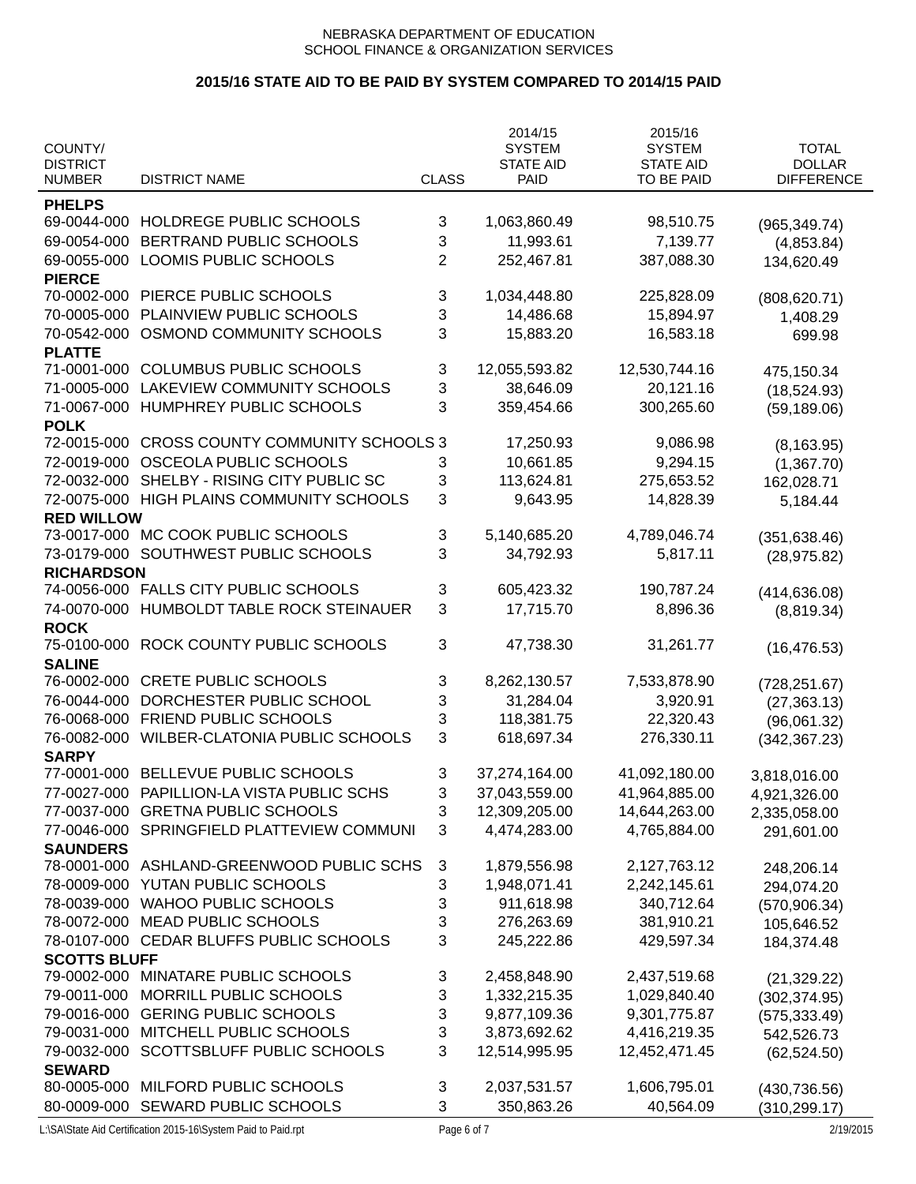|                              |                                         |                | 2014/15          | 2015/16          |                   |
|------------------------------|-----------------------------------------|----------------|------------------|------------------|-------------------|
| COUNTY/                      |                                         |                | <b>SYSTEM</b>    | <b>SYSTEM</b>    | <b>TOTAL</b>      |
| <b>DISTRICT</b>              |                                         |                | <b>STATE AID</b> | <b>STATE AID</b> | <b>DOLLAR</b>     |
| <b>NUMBER</b>                | <b>DISTRICT NAME</b>                    | <b>CLASS</b>   | <b>PAID</b>      | TO BE PAID       | <b>DIFFERENCE</b> |
| <b>PHELPS</b>                |                                         |                |                  |                  |                   |
| 69-0044-000                  | HOLDREGE PUBLIC SCHOOLS                 | 3              | 1,063,860.49     | 98,510.75        | (965, 349.74)     |
| 69-0054-000                  | BERTRAND PUBLIC SCHOOLS                 | 3              | 11,993.61        | 7,139.77         | (4,853.84)        |
| 69-0055-000                  | LOOMIS PUBLIC SCHOOLS                   | $\overline{2}$ | 252,467.81       | 387,088.30       | 134,620.49        |
| <b>PIERCE</b>                |                                         |                |                  |                  |                   |
| 70-0002-000                  | PIERCE PUBLIC SCHOOLS                   | 3              | 1,034,448.80     | 225,828.09       | (808, 620.71)     |
| 70-0005-000                  | PLAINVIEW PUBLIC SCHOOLS                | 3              | 14,486.68        | 15,894.97        | 1,408.29          |
| 70-0542-000                  | OSMOND COMMUNITY SCHOOLS                | 3              | 15,883.20        | 16,583.18        | 699.98            |
| <b>PLATTE</b>                |                                         |                |                  |                  |                   |
| 71-0001-000                  | <b>COLUMBUS PUBLIC SCHOOLS</b>          | 3              | 12,055,593.82    | 12,530,744.16    | 475,150.34        |
| 71-0005-000                  | LAKEVIEW COMMUNITY SCHOOLS              | 3              | 38,646.09        | 20,121.16        | (18, 524.93)      |
| 71-0067-000                  | HUMPHREY PUBLIC SCHOOLS                 | 3              | 359,454.66       | 300,265.60       | (59, 189.06)      |
| <b>POLK</b>                  |                                         |                |                  |                  |                   |
| 72-0015-000                  | <b>CROSS COUNTY COMMUNITY SCHOOLS 3</b> |                | 17,250.93        | 9,086.98         | (8, 163.95)       |
| 72-0019-000                  | OSCEOLA PUBLIC SCHOOLS                  | 3              | 10,661.85        | 9,294.15         | (1,367.70)        |
| 72-0032-000                  | SHELBY - RISING CITY PUBLIC SC          | 3              | 113,624.81       | 275,653.52       | 162,028.71        |
| 72-0075-000                  | HIGH PLAINS COMMUNITY SCHOOLS           | 3              | 9,643.95         | 14,828.39        | 5,184.44          |
| <b>RED WILLOW</b>            |                                         |                |                  |                  |                   |
| 73-0017-000                  | MC COOK PUBLIC SCHOOLS                  | 3              | 5,140,685.20     | 4,789,046.74     | (351, 638.46)     |
| 73-0179-000                  | SOUTHWEST PUBLIC SCHOOLS                | 3              | 34,792.93        | 5,817.11         | (28, 975.82)      |
| <b>RICHARDSON</b>            |                                         |                |                  |                  |                   |
| 74-0056-000                  | FALLS CITY PUBLIC SCHOOLS               | 3              | 605,423.32       | 190,787.24       | (414, 636.08)     |
| 74-0070-000                  | HUMBOLDT TABLE ROCK STEINAUER           | 3              | 17,715.70        | 8,896.36         | (8,819.34)        |
| <b>ROCK</b>                  |                                         |                |                  |                  |                   |
| 75-0100-000                  | ROCK COUNTY PUBLIC SCHOOLS              | 3              | 47,738.30        | 31,261.77        | (16, 476.53)      |
| <b>SALINE</b>                |                                         |                |                  |                  |                   |
| 76-0002-000                  | <b>CRETE PUBLIC SCHOOLS</b>             | 3              | 8,262,130.57     | 7,533,878.90     | (728, 251.67)     |
| 76-0044-000                  | DORCHESTER PUBLIC SCHOOL                | 3              | 31,284.04        | 3,920.91         | (27, 363.13)      |
| 76-0068-000                  | FRIEND PUBLIC SCHOOLS                   | 3              | 118,381.75       | 22,320.43        | (96,061.32)       |
| 76-0082-000                  | <b>WILBER-CLATONIA PUBLIC SCHOOLS</b>   | 3              | 618,697.34       | 276,330.11       | (342, 367.23)     |
| <b>SARPY</b>                 |                                         |                |                  |                  |                   |
| 77-0001-000                  | BELLEVUE PUBLIC SCHOOLS                 | 3              | 37,274,164.00    | 41,092,180.00    | 3,818,016.00      |
| 77-0027-000                  | PAPILLION-LA VISTA PUBLIC SCHS          | 3              | 37,043,559.00    | 41,964,885.00    | 4,921,326.00      |
| 77-0037-000                  | <b>GRETNA PUBLIC SCHOOLS</b>            | 3              | 12,309,205.00    | 14,644,263.00    | 2,335,058.00      |
| 77-0046-000                  | SPRINGFIELD PLATTEVIEW COMMUNI          | 3              | 4,474,283.00     | 4,765,884.00     | 291,601.00        |
| <b>SAUNDERS</b>              |                                         |                |                  |                  |                   |
| 78-0001-000                  | ASHLAND-GREENWOOD PUBLIC SCHS           | 3              | 1,879,556.98     | 2,127,763.12     | 248,206.14        |
| 78-0009-000                  | YUTAN PUBLIC SCHOOLS                    | 3              | 1,948,071.41     | 2,242,145.61     | 294,074.20        |
| 78-0039-000                  | <b>WAHOO PUBLIC SCHOOLS</b>             | 3              | 911,618.98       | 340,712.64       | (570, 906.34)     |
| 78-0072-000                  | <b>MEAD PUBLIC SCHOOLS</b>              | 3              | 276,263.69       | 381,910.21       |                   |
| 78-0107-000                  | CEDAR BLUFFS PUBLIC SCHOOLS             | 3              | 245,222.86       | 429,597.34       | 105,646.52        |
| <b>SCOTTS BLUFF</b>          |                                         |                |                  |                  | 184,374.48        |
| 79-0002-000                  | MINATARE PUBLIC SCHOOLS                 | 3              | 2,458,848.90     | 2,437,519.68     |                   |
| 79-0011-000                  | MORRILL PUBLIC SCHOOLS                  | 3              | 1,332,215.35     | 1,029,840.40     | (21, 329.22)      |
| 79-0016-000                  | <b>GERING PUBLIC SCHOOLS</b>            | 3              | 9,877,109.36     | 9,301,775.87     | (302, 374.95)     |
|                              |                                         |                |                  |                  | (575, 333.49)     |
| 79-0031-000                  | MITCHELL PUBLIC SCHOOLS                 | 3              | 3,873,692.62     | 4,416,219.35     | 542,526.73        |
| 79-0032-000                  | SCOTTSBLUFF PUBLIC SCHOOLS              | 3              | 12,514,995.95    | 12,452,471.45    | (62, 524.50)      |
| <b>SEWARD</b><br>80-0005-000 | MILFORD PUBLIC SCHOOLS                  |                |                  |                  |                   |
|                              |                                         | 3              | 2,037,531.57     | 1,606,795.01     | (430, 736.56)     |
| 80-0009-000                  | SEWARD PUBLIC SCHOOLS                   | $\mathbf{3}$   | 350,863.26       | 40,564.09        | (310, 299.17)     |